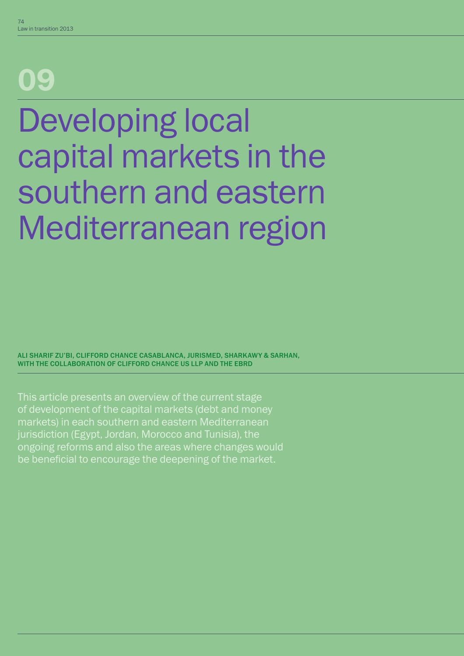# 09

# Developing local capital markets in the southern and eastern Mediterranean region

ALI SHARIF ZU'BI, CLIFFORD CHANCE CASABLANCA, JURISMED, SHARKAWY & SARHAN, WITH THE COLLABORATION OF CLIFFORD CHANCE US LLP AND THE EBRD

This article presents an overview of the current stage of development of the capital markets (debt and money markets) in each southern and eastern Mediterranean jurisdiction (Egypt, Jordan, Morocco and Tunisia), the ongoing reforms and also the areas where changes would be beneficial to encourage the deepening of the market.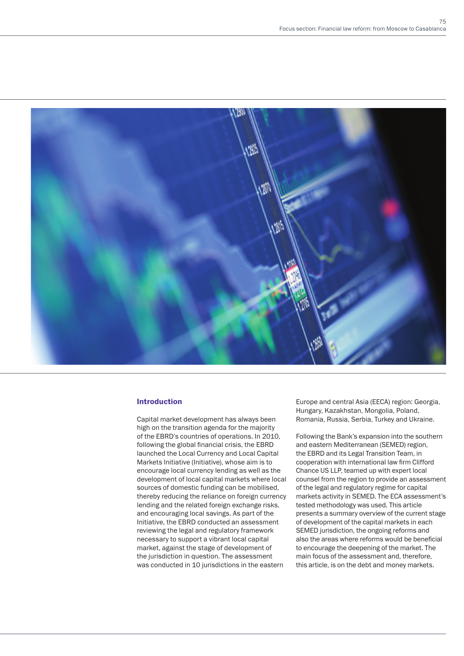

## Introduction

Capital market development has always been high on the transition agenda for the majority of the EBRD's countries of operations. In 2010, following the global financial crisis, the EBRD launched the Local Currency and Local Capital Markets Initiative (Initiative), whose aim is to encourage local currency lending as well as the development of local capital markets where local sources of domestic funding can be mobilised, thereby reducing the reliance on foreign currency lending and the related foreign exchange risks, and encouraging local savings. As part of the Initiative, the EBRD conducted an assessment reviewing the legal and regulatory framework necessary to support a vibrant local capital market, against the stage of development of the jurisdiction in question. The assessment was conducted in 10 jurisdictions in the eastern

Europe and central Asia (EECA) region: Georgia, Hungary, Kazakhstan, Mongolia, Poland, Romania, Russia, Serbia, Turkey and Ukraine.

Following the Bank's expansion into the southern and eastern Mediterranean (SEMED) region, the EBRD and its Legal Transition Team, in cooperation with international law firm Clifford Chance US LLP, teamed up with expert local counsel from the region to provide an assessment of the legal and regulatory regime for capital markets activity in SEMED. The ECA assessment's tested methodology was used. This article presents a summary overview of the current stage of development of the capital markets in each SEMED jurisdiction, the ongoing reforms and also the areas where reforms would be beneficial to encourage the deepening of the market. The main focus of the assessment and, therefore, this article, is on the debt and money markets.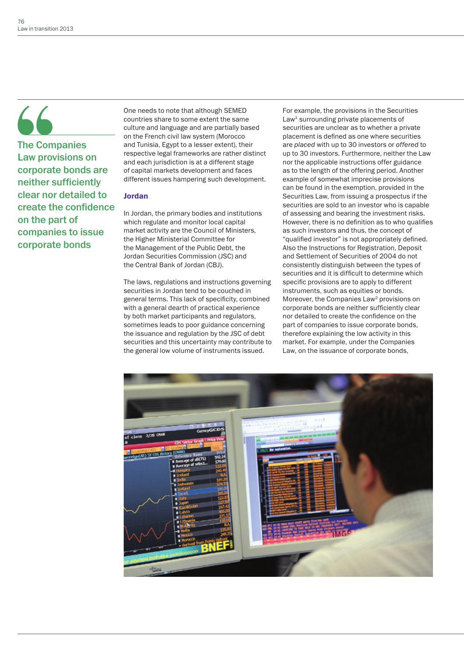# $\overline{\phantom{a}}$

The Companies Law provisions on corporate bonds are neither sufficiently clear nor detailed to create the confidence on the part of companies to issue corporate bonds

One needs to note that although SEMED countries share to some extent the same culture and language and are partially based on the French civil law system (Morocco and Tunisia, Egypt to a lesser extent), their respective legal frameworks are rather distinct and each jurisdiction is at a different stage of capital markets development and faces different issues hampering such development.

# Jordan

In Jordan, the primary bodies and institutions which regulate and monitor local capital market activity are the Council of Ministers, the Higher Ministerial Committee for the Management of the Public Debt, the Jordan Securities Commission (JSC) and the Central Bank of Jordan (CBJ).

The laws, regulations and instructions governing securities in Jordan tend to be couched in general terms. This lack of specificity, combined with a general dearth of practical experience by both market participants and regulators, sometimes leads to poor guidance concerning the issuance and regulation by the JSC of debt securities and this uncertainty may contribute to the general low volume of instruments issued.

For example, the provisions in the Securities Law<sup>1</sup> surrounding private placements of securities are unclear as to whether a private placement is defined as one where securities are *placed* with up to 30 investors or *offered* to up to 30 investors. Furthermore, neither the Law nor the applicable instructions offer guidance as to the length of the offering period. Another example of somewhat imprecise provisions can be found in the exemption, provided in the Securities Law, from issuing a prospectus if the securities are sold to an investor who is capable of assessing and bearing the investment risks. However, there is no definition as to who qualifies as such investors and thus, the concept of "qualified investor" is not appropriately defined. Also the Instructions for Registration, Deposit and Settlement of Securities of 2004 do not consistently distinguish between the types of securities and it is difficult to determine which specific provisions are to apply to different instruments, such as equities or bonds. Moreover, the Companies Law<sup>2</sup> provisions on corporate bonds are neither sufficiently clear nor detailed to create the confidence on the part of companies to issue corporate bonds, therefore explaining the low activity in this market. For example, under the Companies Law, on the issuance of corporate bonds,

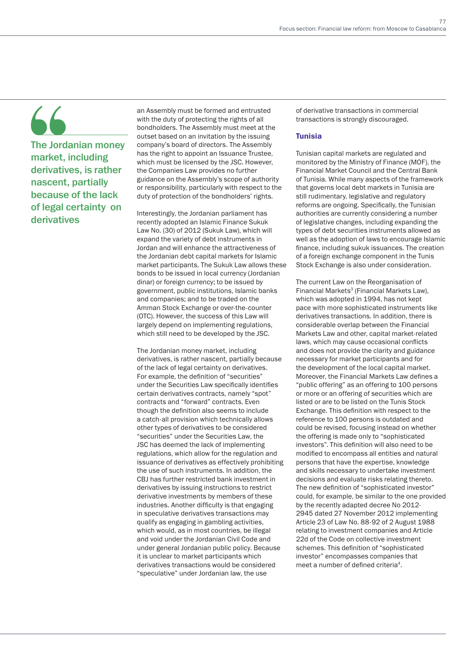The Jordanian money market, including derivatives, is rather nascent, partially because of the lack of legal certainty on derivatives

an Assembly must be formed and entrusted with the duty of protecting the rights of all bondholders. The Assembly must meet at the outset based on an invitation by the issuing company's board of directors. The Assembly has the right to appoint an Issuance Trustee, which must be licensed by the JSC. However, the Companies Law provides no further guidance on the Assembly's scope of authority or responsibility, particularly with respect to the duty of protection of the bondholders' rights.

Interestingly, the Jordanian parliament has recently adopted an Islamic Finance Sukuk Law No. (30) of 2012 (Sukuk Law), which will expand the variety of debt instruments in Jordan and will enhance the attractiveness of the Jordanian debt capital markets for Islamic market participants. The Sukuk Law allows these bonds to be issued in local currency (Jordanian dinar) or foreign currency; to be issued by government, public institutions, Islamic banks and companies; and to be traded on the Amman Stock Exchange or over-the-counter (OTC). However, the success of this Law will largely depend on implementing regulations, which still need to be developed by the JSC.

The Jordanian money market, including derivatives, is rather nascent, partially because of the lack of legal certainty on derivatives. For example, the definition of "securities" under the Securities Law specifically identifies certain derivatives contracts, namely "spot" contracts and "forward" contracts. Even though the definition also seems to include a catch-all provision which technically allows other types of derivatives to be considered "securities" under the Securities Law, the JSC has deemed the lack of implementing regulations, which allow for the regulation and issuance of derivatives as effectively prohibiting the use of such instruments. In addition, the CBJ has further restricted bank investment in derivatives by issuing instructions to restrict derivative investments by members of these industries. Another difficulty is that engaging in speculative derivatives transactions may qualify as engaging in gambling activities, which would, as in most countries, be illegal and void under the Jordanian Civil Code and under general Jordanian public policy. Because it is unclear to market participants which derivatives transactions would be considered "speculative" under Jordanian law, the use

of derivative transactions in commercial transactions is strongly discouraged.

# **Tunisia**

Tunisian capital markets are regulated and monitored by the Ministry of Finance (MOF), the Financial Market Council and the Central Bank of Tunisia. While many aspects of the framework that governs local debt markets in Tunisia are still rudimentary, legislative and regulatory reforms are ongoing. Specifically, the Tunisian authorities are currently considering a number of legislative changes, including expanding the types of debt securities instruments allowed as well as the adoption of laws to encourage Islamic finance, including sukuk issuances. The creation of a foreign exchange component in the Tunis Stock Exchange is also under consideration.

The current Law on the Reorganisation of Financial Markets<sup>3</sup> (Financial Markets Law), which was adopted in 1994, has not kept pace with more sophisticated instruments like derivatives transactions. In addition, there is considerable overlap between the Financial Markets Law and other, capital market-related laws, which may cause occasional conflicts and does not provide the clarity and guidance necessary for market participants and for the development of the local capital market. Moreover, the Financial Markets Law defines a "public offering" as an offering to 100 persons or more or an offering of securities which are listed or are to be listed on the Tunis Stock Exchange. This definition with respect to the reference to 100 persons is outdated and could be revised, focusing instead on whether the offering is made only to "sophisticated investors". This definition will also need to be modified to encompass all entities and natural persons that have the expertise, knowledge and skills necessary to undertake investment decisions and evaluate risks relating thereto. The new definition of "sophisticated investor" could, for example, be similar to the one provided by the recently adapted decree No 2012- 2945 dated 27 November 2012 implementing Article 23 of Law No. 88-92 of 2 August 1988 relating to investment companies and Article 22d of the Code on collective investment schemes. This definition of "sophisticated investor" encompasses companies that meet a number of defined criteria4.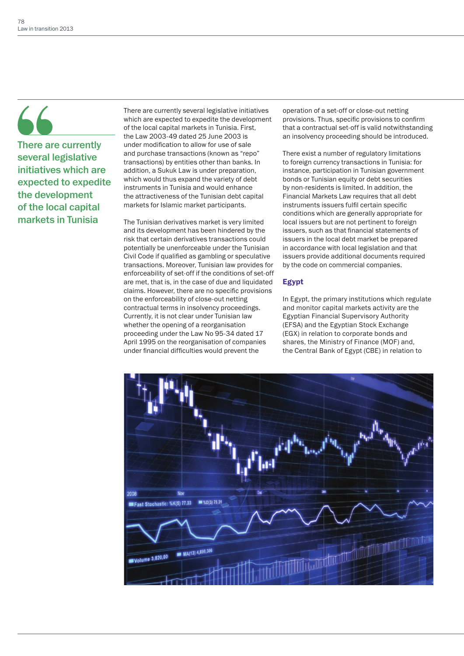# $66$

There are currently several legislative initiatives which are expected to expedite the development of the local capital markets in Tunisia

There are currently several legislative initiatives which are expected to expedite the development of the local capital markets in Tunisia. First, the Law 2003-49 dated 25 June 2003 is under modification to allow for use of sale and purchase transactions (known as "repo" transactions) by entities other than banks. In addition, a Sukuk Law is under preparation, which would thus expand the variety of debt instruments in Tunisia and would enhance the attractiveness of the Tunisian debt capital markets for Islamic market participants.

The Tunisian derivatives market is very limited and its development has been hindered by the risk that certain derivatives transactions could potentially be unenforceable under the Tunisian Civil Code if qualified as gambling or speculative transactions. Moreover, Tunisian law provides for enforceability of set-off if the conditions of set-off are met, that is, in the case of due and liquidated claims. However, there are no specific provisions on the enforceability of close-out netting contractual terms in insolvency proceedings. Currently, it is not clear under Tunisian law whether the opening of a reorganisation proceeding under the Law No 95-34 dated 17 April 1995 on the reorganisation of companies under financial difficulties would prevent the

operation of a set-off or close-out netting provisions. Thus, specific provisions to confirm that a contractual set-off is valid notwithstanding an insolvency proceeding should be introduced.

There exist a number of regulatory limitations to foreign currency transactions in Tunisia: for instance, participation in Tunisian government bonds or Tunisian equity or debt securities by non-residents is limited. In addition, the Financial Markets Law requires that all debt instruments issuers fulfil certain specific conditions which are generally appropriate for local issuers but are not pertinent to foreign issuers, such as that financial statements of issuers in the local debt market be prepared in accordance with local legislation and that issuers provide additional documents required by the code on commercial companies.

# Egypt

In Egypt, the primary institutions which regulate and monitor capital markets activity are the Egyptian Financial Supervisory Authority (EFSA) and the Egyptian Stock Exchange (EGX) in relation to corporate bonds and shares, the Ministry of Finance (MOF) and, the Central Bank of Egypt (CBE) in relation to

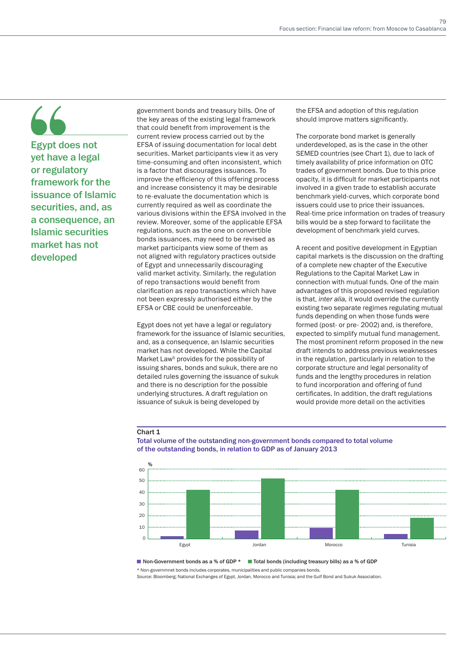Egypt does not yet have a legal or regulatory framework for the issuance of Islamic securities, and, as a consequence, an Islamic securities market has not developed

government bonds and treasury bills. One of the key areas of the existing legal framework that could benefit from improvement is the current review process carried out by the EFSA of issuing documentation for local debt securities. Market participants view it as very time-consuming and often inconsistent, which is a factor that discourages issuances. To improve the efficiency of this offering process and increase consistency it may be desirable to re-evaluate the documentation which is currently required as well as coordinate the various divisions within the EFSA involved in the review. Moreover, some of the applicable EFSA regulations, such as the one on convertible bonds issuances, may need to be revised as market participants view some of them as not aligned with regulatory practices outside of Egypt and unnecessarily discouraging valid market activity. Similarly, the regulation of repo transactions would benefit from clarification as repo transactions which have not been expressly authorised either by the EFSA or CBE could be unenforceable.

Egypt does not yet have a legal or regulatory framework for the issuance of Islamic securities, and, as a consequence, an Islamic securities market has not developed. While the Capital Market Law<sup>5</sup> provides for the possibility of issuing shares, bonds and sukuk, there are no detailed rules governing the issuance of sukuk and there is no description for the possible underlying structures. A draft regulation on issuance of sukuk is being developed by

the EFSA and adoption of this regulation should improve matters significantly.

The corporate bond market is generally underdeveloped, as is the case in the other SEMED countries (see Chart 1), due to lack of timely availability of price information on OTC trades of government bonds. Due to this price opacity, it is difficult for market participants not involved in a given trade to establish accurate benchmark yield-curves, which corporate bond issuers could use to price their issuances. Real-time price information on trades of treasury bills would be a step forward to facilitate the development of benchmark yield curves.

A recent and positive development in Egyptian capital markets is the discussion on the drafting of a complete new chapter of the Executive Regulations to the Capital Market Law in connection with mutual funds. One of the main advantages of this proposed revised regulation is that, *inter alia,* it would override the currently existing two separate regimes regulating mutual funds depending on when those funds were formed (post- or pre- 2002) and, is therefore, expected to simplify mutual fund management. The most prominent reform proposed in the new draft intends to address previous weaknesses in the regulation, particularly in relation to the corporate structure and legal personality of funds and the lengthy procedures in relation to fund incorporation and offering of fund certificates. In addition, the draft regulations would provide more detail on the activities

## Chart 1



Total volume of the outstanding non-government bonds compared to total volume of the outstanding bonds, in relation to GDP as of January 2013

■ Non-Government bonds as a % of GDP \* ■ Total bonds (including treasury bills) as a % of GDP

\* Non-governmnet bonds includes corporates, municipalities and public companies bonds. Source: Bloomberg; National Exchanges of Egypt, Jordan, Morocco and Tunisia; and the Gulf Bond and Sukuk Association.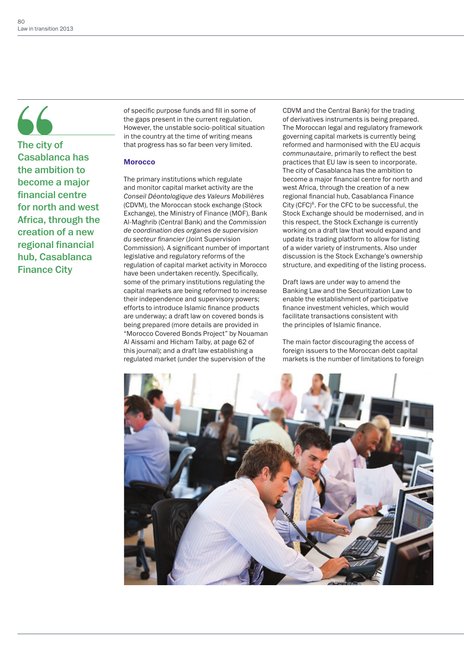# $66$

The city of Casablanca has the ambition to become a major financial centre for north and west Africa, through the creation of a new regional financial hub, Casablanca Finance City

of specific purpose funds and fill in some of the gaps present in the current regulation. However, the unstable socio-political situation in the country at the time of writing means that progress has so far been very limited.

# **Morocco**

The primary institutions which regulate and monitor capital market activity are the *Conseil Déontologique des Valeurs Mobilières*  (CDVM), the Moroccan stock exchange (Stock Exchange), the Ministry of Finance (MOF), Bank Al-Maghrib (Central Bank) and the *Commission de coordination des organes de supervision du secteur financier* (Joint Supervision Commission). A significant number of important legislative and regulatory reforms of the regulation of capital market activity in Morocco have been undertaken recently. Specifically, some of the primary institutions regulating the capital markets are being reformed to increase their independence and supervisory powers; efforts to introduce Islamic finance products are underway; a draft law on covered bonds is being prepared (more details are provided in "Morocco Covered Bonds Project" by Nouaman Al Aissami and Hicham Talby, at page 62 of this journal); and a draft law establishing a regulated market (under the supervision of the

CDVM and the Central Bank) for the trading of derivatives instruments is being prepared. The Moroccan legal and regulatory framework governing capital markets is currently being reformed and harmonised with the EU *acquis communautaire*, primarily to reflect the best practices that EU law is seen to incorporate. The city of Casablanca has the ambition to become a major financial centre for north and west Africa, through the creation of a new regional financial hub, Casablanca Finance City (CFC)<sup>6</sup>. For the CFC to be successful, the Stock Exchange should be modernised, and in this respect, the Stock Exchange is currently working on a draft law that would expand and update its trading platform to allow for listing of a wider variety of instruments. Also under discussion is the Stock Exchange's ownership structure, and expediting of the listing process.

Draft laws are under way to amend the Banking Law and the Securitization Law to enable the establishment of participative finance investment vehicles, which would facilitate transactions consistent with the principles of Islamic finance.

The main factor discouraging the access of foreign issuers to the Moroccan debt capital markets is the number of limitations to foreign

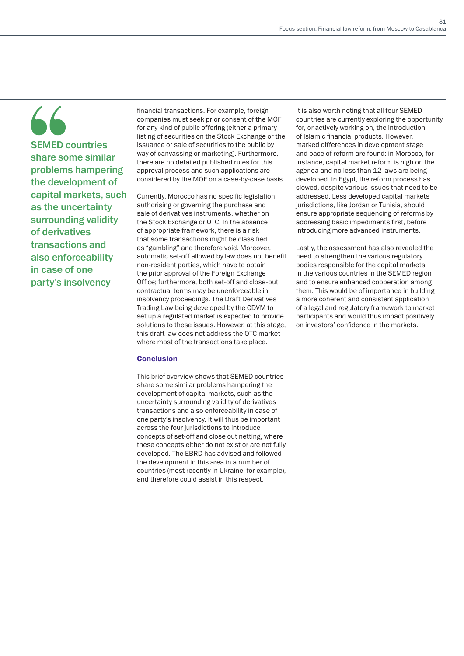SEMED countries share some similar problems hampering the development of capital markets, such as the uncertainty surrounding validity of derivatives transactions and also enforceability in case of one party's insolvency

financial transactions. For example, foreign companies must seek prior consent of the MOF for any kind of public offering (either a primary listing of securities on the Stock Exchange or the issuance or sale of securities to the public by way of canvassing or marketing). Furthermore, there are no detailed published rules for this approval process and such applications are considered by the MOF on a case-by-case basis.

Currently, Morocco has no specific legislation authorising or governing the purchase and sale of derivatives instruments, whether on the Stock Exchange or OTC. In the absence of appropriate framework, there is a risk that some transactions might be classified as "gambling" and therefore void. Moreover, automatic set-off allowed by law does not benefit non-resident parties, which have to obtain the prior approval of the Foreign Exchange Office; furthermore, both set-off and close-out contractual terms may be unenforceable in insolvency proceedings. The Draft Derivatives Trading Law being developed by the CDVM to set up a regulated market is expected to provide solutions to these issues. However, at this stage, this draft law does not address the OTC market where most of the transactions take place.

# **Conclusion**

This brief overview shows that SEMED countries share some similar problems hampering the development of capital markets, such as the uncertainty surrounding validity of derivatives transactions and also enforceability in case of one party's insolvency. It will thus be important across the four jurisdictions to introduce concepts of set-off and close out netting, where these concepts either do not exist or are not fully developed. The EBRD has advised and followed the development in this area in a number of countries (most recently in Ukraine, for example), and therefore could assist in this respect.

It is also worth noting that all four SEMED countries are currently exploring the opportunity for, or actively working on, the introduction of Islamic financial products. However, marked differences in development stage and pace of reform are found: in Morocco, for instance, capital market reform is high on the agenda and no less than 12 laws are being developed. In Egypt, the reform process has slowed, despite various issues that need to be addressed. Less developed capital markets jurisdictions, like Jordan or Tunisia, should ensure appropriate sequencing of reforms by addressing basic impediments first, before introducing more advanced instruments.

Lastly, the assessment has also revealed the need to strengthen the various regulatory bodies responsible for the capital markets in the various countries in the SEMED region and to ensure enhanced cooperation among them. This would be of importance in building a more coherent and consistent application of a legal and regulatory framework to market participants and would thus impact positively on investors' confidence in the markets.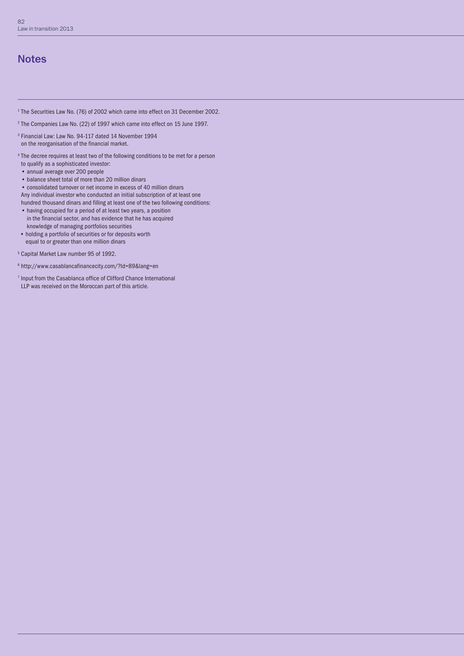# **Notes**

- <sup>1</sup> The Securities Law No. (76) of 2002 which came into effect on 31 December 2002.
- $^2$  The Companies Law No. (22) of 1997 which came into effect on 15 June 1997.
- <sup>3</sup> Financial Law: Law No. 94-117 dated 14 November 1994 on the reorganisation of the financial market.
- <sup>4</sup> The decree requires at least two of the following conditions to be met for a person to qualify as a sophisticated investor:
- *•* annual average over 200 people
- *•* balance sheet total of more than 20 million dinars
- *•* consolidated turnover or net income in excess of 40 million dinars
- Any individual investor who conducted an initial subscription of at least one hundred thousand dinars and filling at least one of the two following conditions:
- *•* having occupied for a period of at least two years, a position in the financial sector, and has evidence that he has acquired knowledge of managing portfolios securities
- *•* holding a portfolio of securities or for deposits worth equal to or greater than one million dinars
- 5 Capital Market Law number 95 of 1992.
- 6 http://www.casablancafinancecity.com/?Id=89&lang=en
- <sup>7</sup> Input from the Casablanca office of Clifford Chance International LLP was received on the Moroccan part of this article.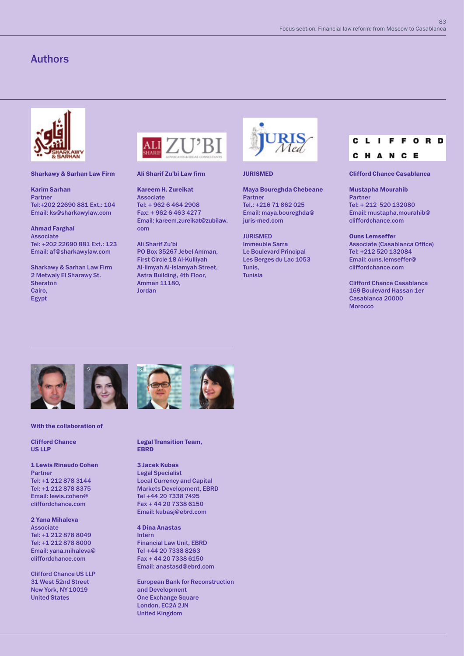## Sharkawy & Sarhan Law Firm

Karim Sarhan Partner Tel:+202 22690 881 Ext.: 104 Email: ks@sharkawylaw.com

# Ahmad Farghal

Associate Tel: +202 22690 881 Ext.: 123 Email: af@sharkawylaw.com

Sharkawy & Sarhan Law Firm 2 Metwaly El Sharawy St. **Sheraton** Cairo, Egypt



# Ali Sharif Zu'bi Law firm

Kareem H. Zureikat Associate Tel: + 962 6 464 2908 Fax: + 962 6 463 4277 Email: kareem.zureikat@zubilaw. com

Ali Sharif Zu'bi PO Box 35267 Jebel Amman, First Circle 18 Al-Kulliyah Al-Ilmyah Al-Islamyah Street, Astra Building, 4th Floor, Amman 11180, Jordan



JURISMED

Maya Boureghda Chebeane Partner Tel.: +216 71 862 025 Email: maya.boureghda@ juris-med.com

JURISMED Immeuble Sarra Le Boulevard Principal Les Berges du Lac 1053 Tunis, Tunisia

### ORD C  $\mathbf{L}$ F F L. c H A  $\overline{\mathbf{N}}$ C E

Clifford Chance Casablanca

## Mustapha Mourahib

Partner Tel: + 212 520 132080 Email: mustapha.mourahib@ cliffordchance.com

### Ouns Lemseffer

Associate (Casablanca Office) Tel: +212 520 132084 Email: ouns.lemseffer@ cliffordchance.com

Clifford Chance Casablanca 169 Boulevard Hassan 1er Casablanca 20000 Morocco



With the collaboration of

Clifford Chance US LLP

1 Lewis Rinaudo Cohen Partner Tel: +1 212 878 3144 Tel: +1 212 878 8375 Email: lewis.cohen@ cliffordchance.com

2 Yana Mihaleva Associate Tel: +1 212 878 8049 Tel: +1 212 878 8000 Email: yana.mihaleva@ cliffordchance.com

Clifford Chance US LLP 31 West 52nd Street New York, NY 10019 United States





Legal Transition Team, **FRRD** 

# 3 Jacek Kubas Legal Specialist Local Currency and Capital

Markets Development, EBRD Tel +44 20 7338 7495 Fax + 44 20 7338 6150 Email: kubasj@ebrd.com

4 Dina Anastas Intern

Financial Law Unit, EBRD Tel +44 20 7338 8263 Fax + 44 20 7338 6150 Email: anastasd@ebrd.com

European Bank for Reconstruction and Development One Exchange Square London, EC2A 2JN United Kingdom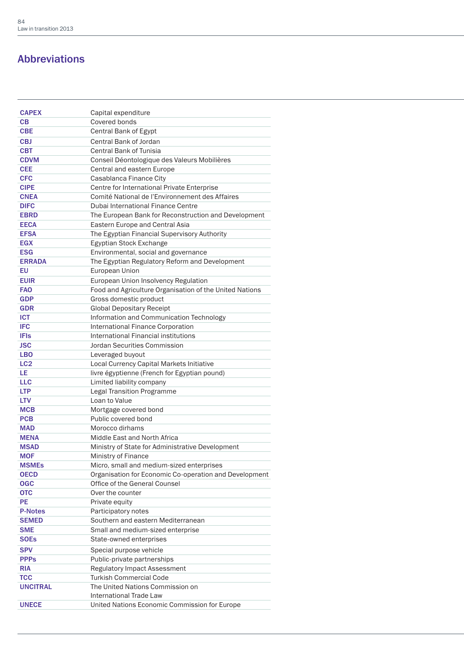# Abbreviations

| <b>CAPEX</b>    | Capital expenditure                                            |
|-----------------|----------------------------------------------------------------|
| CВ              | Covered bonds                                                  |
| <b>CBE</b>      | <b>Central Bank of Egypt</b>                                   |
| <b>CBJ</b>      | Central Bank of Jordan                                         |
| <b>CBT</b>      | Central Bank of Tunisia                                        |
| <b>CDVM</b>     | Conseil Déontologique des Valeurs Mobilières                   |
| <b>CEE</b>      | Central and eastern Europe                                     |
| <b>CFC</b>      | Casablanca Finance City                                        |
| <b>CIPE</b>     | Centre for International Private Enterprise                    |
| <b>CNEA</b>     | Comité National de l'Environnement des Affaires                |
| <b>DIFC</b>     | <b>Dubai International Finance Centre</b>                      |
| <b>EBRD</b>     | The European Bank for Reconstruction and Development           |
| <b>EECA</b>     | Eastern Europe and Central Asia                                |
| <b>EFSA</b>     | The Egyptian Financial Supervisory Authority                   |
| <b>EGX</b>      | Egyptian Stock Exchange                                        |
| <b>ESG</b>      | Environmental, social and governance                           |
| <b>ERRADA</b>   | The Egyptian Regulatory Reform and Development                 |
| EU              | European Union                                                 |
| <b>EUIR</b>     | European Union Insolvency Regulation                           |
| <b>FAO</b>      | Food and Agriculture Organisation of the United Nations        |
| <b>GDP</b>      | Gross domestic product                                         |
| <b>GDR</b>      | <b>Global Depositary Receipt</b>                               |
| <b>ICT</b>      | Information and Communication Technology                       |
| <b>IFC</b>      | International Finance Corporation                              |
| <b>IFIs</b>     | International Financial institutions                           |
| <b>JSC</b>      | Jordan Securities Commission                                   |
| <b>LBO</b>      | Leveraged buyout                                               |
| LC <sub>2</sub> | Local Currency Capital Markets Initiative                      |
| LE.             | livre égyptienne (French for Egyptian pound)                   |
| <b>LLC</b>      | Limited liability company                                      |
| <b>LTP</b>      | <b>Legal Transition Programme</b>                              |
| <b>LTV</b>      | Loan to Value                                                  |
| <b>MCB</b>      | Mortgage covered bond                                          |
| <b>PCB</b>      | Public covered bond                                            |
| <b>MAD</b>      | Morocco dirhams                                                |
| <b>MENA</b>     | Middle East and North Africa                                   |
| <b>MSAD</b>     | Ministry of State for Administrative Development               |
| <b>MOF</b>      | Ministry of Finance                                            |
| <b>MSMEs</b>    | Micro, small and medium-sized enterprises                      |
| <b>OECD</b>     | Organisation for Economic Co-operation and Development         |
| <b>OGC</b>      | Office of the General Counsel                                  |
| <b>OTC</b>      | Over the counter                                               |
| <b>PE</b>       | Private equity                                                 |
| <b>P-Notes</b>  | Participatory notes                                            |
| <b>SEMED</b>    | Southern and eastern Mediterranean                             |
| <b>SME</b>      | Small and medium-sized enterprise                              |
| <b>SOEs</b>     | State-owned enterprises                                        |
| <b>SPV</b>      |                                                                |
|                 | Special purpose vehicle                                        |
| <b>PPPs</b>     | Public-private partnerships                                    |
| <b>RIA</b>      | Regulatory Impact Assessment<br><b>Turkish Commercial Code</b> |
| TCC             |                                                                |
| <b>UNCITRAL</b> | The United Nations Commission on<br>International Trade Law    |
| <b>UNECE</b>    | United Nations Economic Commission for Europe                  |
|                 |                                                                |